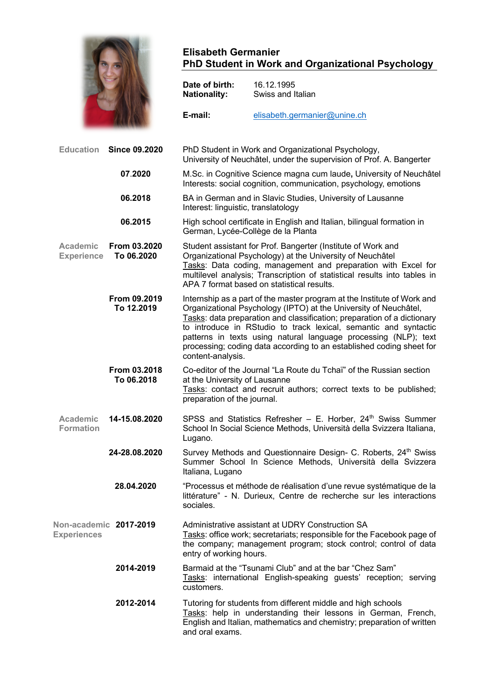

## **Elisabeth Germanier PhD Student in Work and Organizational Psychology**

|                               |                            | Date of birth:<br><b>Nationality:</b>                                                                                                   | 16.12.1995<br>Swiss and Italian                                                                                                                                                                                                                                                                                                                                                                                                       |
|-------------------------------|----------------------------|-----------------------------------------------------------------------------------------------------------------------------------------|---------------------------------------------------------------------------------------------------------------------------------------------------------------------------------------------------------------------------------------------------------------------------------------------------------------------------------------------------------------------------------------------------------------------------------------|
|                               |                            | E-mail:                                                                                                                                 | elisabeth.germanier@unine.ch                                                                                                                                                                                                                                                                                                                                                                                                          |
| <b>Education</b>              | <b>Since 09.2020</b>       | PhD Student in Work and Organizational Psychology,<br>University of Neuchâtel, under the supervision of Prof. A. Bangerter              |                                                                                                                                                                                                                                                                                                                                                                                                                                       |
|                               | 07.2020                    | M.Sc. in Cognitive Science magna cum laude, University of Neuchâtel<br>Interests: social cognition, communication, psychology, emotions |                                                                                                                                                                                                                                                                                                                                                                                                                                       |
|                               | 06.2018                    | Interest: linguistic, translatology                                                                                                     | BA in German and in Slavic Studies, University of Lausanne                                                                                                                                                                                                                                                                                                                                                                            |
|                               | 06.2015                    |                                                                                                                                         | High school certificate in English and Italian, bilingual formation in<br>German, Lycée-Collège de la Planta                                                                                                                                                                                                                                                                                                                          |
| Academic<br><b>Experience</b> | From 03.2020<br>To 06.2020 |                                                                                                                                         | Student assistant for Prof. Bangerter (Institute of Work and<br>Organizational Psychology) at the University of Neuchâtel<br>Tasks: Data coding, management and preparation with Excel for<br>multilevel analysis; Transcription of statistical results into tables in<br>APA 7 format based on statistical results.                                                                                                                  |
|                               | From 09.2019<br>To 12.2019 | content-analysis.                                                                                                                       | Internship as a part of the master program at the Institute of Work and<br>Organizational Psychology (IPTO) at the University of Neuchâtel,<br>Tasks: data preparation and classification; preparation of a dictionary<br>to introduce in RStudio to track lexical, semantic and syntactic<br>patterns in texts using natural language processing (NLP); text<br>processing; coding data according to an established coding sheet for |
|                               | From 03.2018<br>To 06.2018 | at the University of Lausanne<br>preparation of the journal.                                                                            | Co-editor of the Journal "La Route du Tchai" of the Russian section<br>Tasks: contact and recruit authors; correct texts to be published;                                                                                                                                                                                                                                                                                             |
| Academic<br><b>Formation</b>  | 14-15.08.2020              | Lugano.                                                                                                                                 | SPSS and Statistics Refresher - E. Horber, 24 <sup>th</sup> Swiss Summer<br>School In Social Science Methods, Università della Svizzera Italiana,                                                                                                                                                                                                                                                                                     |
|                               | 24-28.08.2020              | Italiana, Lugano                                                                                                                        | Survey Methods and Questionnaire Design- C. Roberts, 24 <sup>th</sup> Swiss<br>Summer School In Science Methods, Università della Svizzera                                                                                                                                                                                                                                                                                            |
|                               | 28.04.2020                 | sociales.                                                                                                                               | "Processus et méthode de réalisation d'une revue systématique de la<br>littérature" - N. Durieux, Centre de recherche sur les interactions                                                                                                                                                                                                                                                                                            |
| <b>Experiences</b>            | Non-academic 2017-2019     | entry of working hours.                                                                                                                 | Administrative assistant at UDRY Construction SA<br>Tasks: office work; secretariats; responsible for the Facebook page of<br>the company; management program; stock control; control of data                                                                                                                                                                                                                                         |
|                               | 2014-2019                  | customers.                                                                                                                              | Barmaid at the "Tsunami Club" and at the bar "Chez Sam"<br>Tasks: international English-speaking guests' reception; serving                                                                                                                                                                                                                                                                                                           |
|                               | 2012-2014                  |                                                                                                                                         | Tutoring for students from different middle and high schools<br>Tasks: help in understanding their lessons in German, French,<br>English and Italian, mathematics and chemistry; preparation of written                                                                                                                                                                                                                               |

and oral exams.